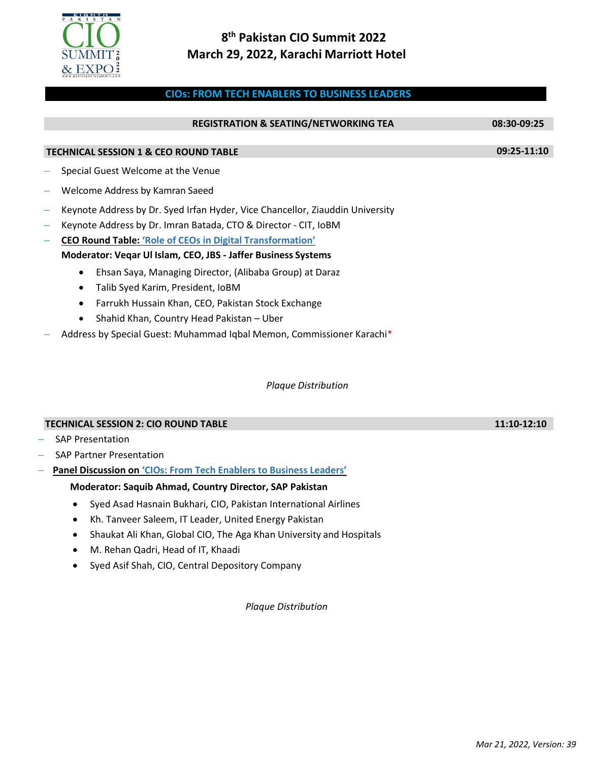

## **8 th Pakistan CIO Summit 2022 March 29, 2022, Karachi Marriott Hotel**

## **CIOs: FROM TECH ENABLERS TO BUSINESS LEADERS**

|                                                                      |                                                                               | 08:30-09:25 |  |  |
|----------------------------------------------------------------------|-------------------------------------------------------------------------------|-------------|--|--|
|                                                                      |                                                                               |             |  |  |
| <b>TECHNICAL SESSION 1 &amp; CEO ROUND TABLE</b>                     |                                                                               |             |  |  |
|                                                                      | Special Guest Welcome at the Venue                                            |             |  |  |
|                                                                      | Welcome Address by Kamran Saeed                                               |             |  |  |
|                                                                      | Keynote Address by Dr. Syed Irfan Hyder, Vice Chancellor, Ziauddin University |             |  |  |
|                                                                      | Keynote Address by Dr. Imran Batada, CTO & Director - CIT, IoBM               |             |  |  |
|                                                                      | <b>CEO Round Table: 'Role of CEOs in Digital Transformation'</b>              |             |  |  |
| <b>Moderator: Vegar Ul Islam, CEO, JBS - Jaffer Business Systems</b> |                                                                               |             |  |  |
|                                                                      | Ehsan Saya, Managing Director, (Alibaba Group) at Daraz                       |             |  |  |
|                                                                      | Talib Syed Karim, President, IoBM                                             |             |  |  |
|                                                                      | Farrukh Hussain Khan, CEO, Pakistan Stock Exchange                            |             |  |  |
|                                                                      | Shahid Khan, Country Head Pakistan - Uber<br>$\bullet$                        |             |  |  |
|                                                                      | Address by Special Guest: Muhammad Iqbal Memon, Commissioner Karachi*         |             |  |  |
|                                                                      |                                                                               |             |  |  |
|                                                                      |                                                                               |             |  |  |

*Plaque Distribution*

| <b>TECHNICAL SESSION 2: CIO ROUND TABLE</b>                          |
|----------------------------------------------------------------------|
| - SAP Presentation                                                   |
| – SAP Partner Presentation                                           |
| - Panel Discussion on 'CIOs: From Tech Enablers to Business Leaders' |
|                                                                      |

## **Moderator: Saquib Ahmad, Country Director, SAP Pakistan**

- Syed Asad Hasnain Bukhari, CIO, Pakistan International Airlines
- Kh. Tanveer Saleem, IT Leader, United Energy Pakistan
- Shaukat Ali Khan, Global CIO, The Aga Khan University and Hospitals
- M. Rehan Qadri, Head of IT, Khaadi
- Syed Asif Shah, CIO, Central Depository Company

*Plaque Distribution*

**11:10-12:10**